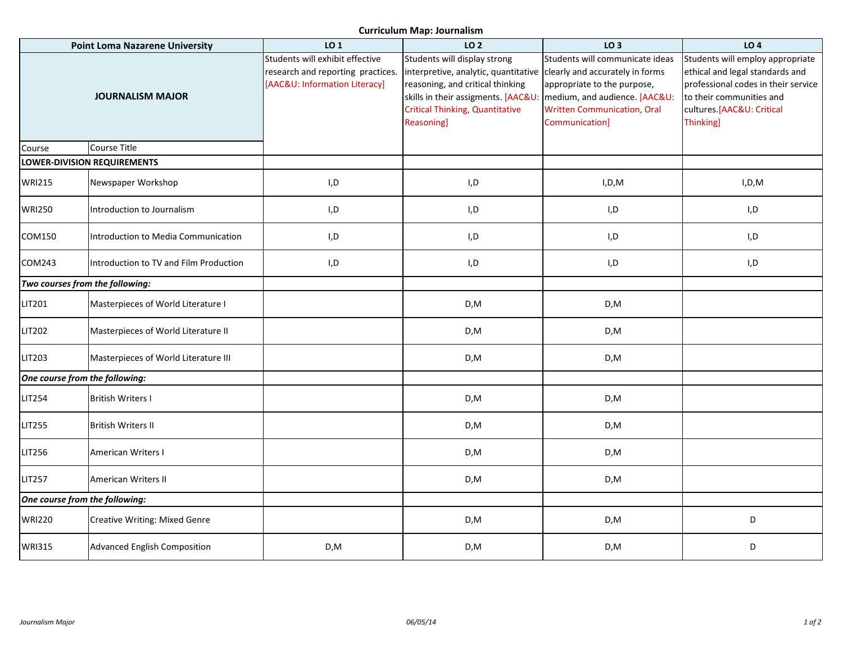**Curriculum Map: Journalism**

| <b>Point Loma Nazarene University</b> |                                        | LO 1                                                                                                  | LO <sub>2</sub>                                                                                                                                                                                         | LO <sub>3</sub>                                                                                                                                                                            | LO <sub>4</sub>                                                                                                                                                                  |
|---------------------------------------|----------------------------------------|-------------------------------------------------------------------------------------------------------|---------------------------------------------------------------------------------------------------------------------------------------------------------------------------------------------------------|--------------------------------------------------------------------------------------------------------------------------------------------------------------------------------------------|----------------------------------------------------------------------------------------------------------------------------------------------------------------------------------|
| <b>JOURNALISM MAJOR</b>               |                                        | Students will exhibit effective<br>research and reporting practices.<br>[AAC&U: Information Literacy] | Students will display strong<br>interpretive, analytic, quantitative<br>reasoning, and critical thinking<br>skills in their assigments. [AAC&U:<br><b>Critical Thinking, Quantitative</b><br>Reasoning] | Students will communicate ideas<br>clearly and accurately in forms<br>appropriate to the purpose,<br>medium, and audience. [AAC&U:<br><b>Written Communication, Oral</b><br>Communication] | Students will employ appropriate<br>ethical and legal standards and<br>professional codes in their service<br>to their communities and<br>cultures.[AAC&U: Critical<br>Thinking] |
| Course                                | Course Title                           |                                                                                                       |                                                                                                                                                                                                         |                                                                                                                                                                                            |                                                                                                                                                                                  |
| <b>LOWER-DIVISION REQUIREMENTS</b>    |                                        |                                                                                                       |                                                                                                                                                                                                         |                                                                                                                                                                                            |                                                                                                                                                                                  |
| <b>WRI215</b>                         | Newspaper Workshop                     | I, D                                                                                                  | I,D                                                                                                                                                                                                     | I, D, M                                                                                                                                                                                    | I, D, M                                                                                                                                                                          |
| <b>WRI250</b>                         | Introduction to Journalism             | $\mathsf{I},\mathsf{D}$                                                                               | I,D                                                                                                                                                                                                     | I, D                                                                                                                                                                                       | I,D                                                                                                                                                                              |
| COM150                                | Introduction to Media Communication    | I,D                                                                                                   | I,D                                                                                                                                                                                                     | I,D                                                                                                                                                                                        | I,D                                                                                                                                                                              |
| COM243                                | Introduction to TV and Film Production | I,D                                                                                                   | I,D                                                                                                                                                                                                     | I,D                                                                                                                                                                                        | I,D                                                                                                                                                                              |
| Two courses from the following:       |                                        |                                                                                                       |                                                                                                                                                                                                         |                                                                                                                                                                                            |                                                                                                                                                                                  |
| <b>LIT201</b>                         | Masterpieces of World Literature I     |                                                                                                       | D,M                                                                                                                                                                                                     | D,M                                                                                                                                                                                        |                                                                                                                                                                                  |
| <b>LIT202</b>                         | Masterpieces of World Literature II    |                                                                                                       | D,M                                                                                                                                                                                                     | D, M                                                                                                                                                                                       |                                                                                                                                                                                  |
| <b>LIT203</b>                         | Masterpieces of World Literature III   |                                                                                                       | D,M                                                                                                                                                                                                     | D,M                                                                                                                                                                                        |                                                                                                                                                                                  |
| One course from the following:        |                                        |                                                                                                       |                                                                                                                                                                                                         |                                                                                                                                                                                            |                                                                                                                                                                                  |
| <b>LIT254</b>                         | <b>British Writers I</b>               |                                                                                                       | D,M                                                                                                                                                                                                     | D,M                                                                                                                                                                                        |                                                                                                                                                                                  |
| <b>LIT255</b>                         | <b>British Writers II</b>              |                                                                                                       | D,M                                                                                                                                                                                                     | D,M                                                                                                                                                                                        |                                                                                                                                                                                  |
| <b>LIT256</b>                         | American Writers I                     |                                                                                                       | D,M                                                                                                                                                                                                     | D,M                                                                                                                                                                                        |                                                                                                                                                                                  |
| <b>LIT257</b>                         | American Writers II                    |                                                                                                       | D,M                                                                                                                                                                                                     | D,M                                                                                                                                                                                        |                                                                                                                                                                                  |
| One course from the following:        |                                        |                                                                                                       |                                                                                                                                                                                                         |                                                                                                                                                                                            |                                                                                                                                                                                  |
| <b>WRI220</b>                         | <b>Creative Writing: Mixed Genre</b>   |                                                                                                       | D,M                                                                                                                                                                                                     | D,M                                                                                                                                                                                        | D                                                                                                                                                                                |
| <b>WRI315</b>                         | <b>Advanced English Composition</b>    | D, M                                                                                                  | D, M                                                                                                                                                                                                    | D,M                                                                                                                                                                                        | D                                                                                                                                                                                |